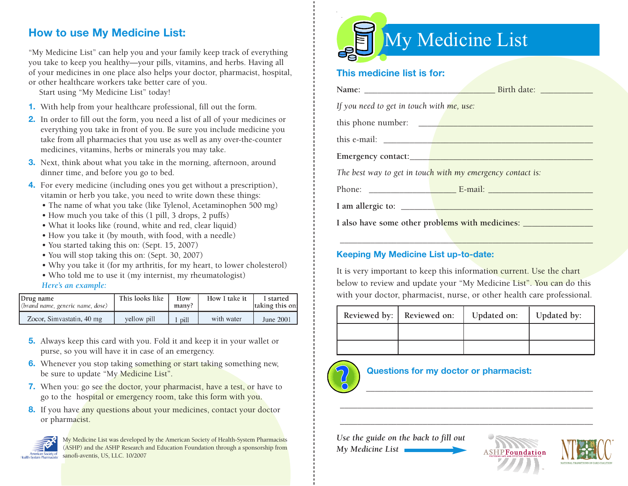## **How to use My Medicine List:**

"My Medicine List" can help you and your family keep track of everything you take to keep you healthy—your pills, vitamins, and herbs. Having all of your medicines in one place also helps your doctor, pharmacist, hospital, or other healthcare workers take better care of you.

Start using "My Medicine List" today!

- **1.** With help from your healthcare professional, fill out the form.
- **2.** In order to fill out the form, you need a list of all of your medicines or everything you take in front of you. Be sure you include medicine you take from all pharmacies that you use as well as any over-the-counter medicines, vitamins, herbs or minerals you may take.
- **3.** Next, think about what you take in the morning, afternoon, around dinner time, and before you go to bed.
- **4.** For every medicine (including ones you get without a prescription), vitamin or herb you take, you need to write down these things:
	- The name of what you take (like Tylenol, Acetaminophen 500 mg)
	- How much you take of this (1 pill, 3 drops, 2 puffs)
	- What it looks like (round, white and red, clear liquid)
	- How you take it (by mouth, with food, with a needle)
	- You started taking this on: (Sept. 15, 2007)
	- You will stop taking this on: (Sept. 30, 2007)
	- Why you take it (for my arthritis, for my heart, to lower cholesterol)
	- Who told me to use it (my internist, my rheumatologist)

#### *Here's an example:*

| Drug name<br>(brand name, generic name, dose) | This looks like | How<br>many? | How I take it | I started<br>taking this on: |  |
|-----------------------------------------------|-----------------|--------------|---------------|------------------------------|--|
| Zocor, Simvastatin, 40 mg                     | yellow pill     | pill         | with water    | June 2001                    |  |

- **5.** Always keep this card with you. Fold it and keep it in your wallet or purse, so you will have it in case of an emergency.
- **6.** Whenever you stop taking something or start taking something new, be sure to update "My Medicine List".
- **7.** When you: go see the doctor, your pharmacist, have a test, or have to go to the hospital or emergency room, take this form with you.
- 8. If you have any questions about your medicines, contact your doctor or pharmacist.



My Medicine List was developed by the American Society of Health-System Pharmacists (ASHP) and the ASHP Research and Education Foundation through a sponsorship from sanofi-aventis, US, LLC. 10/2007



#### **This medicine list is for:**

| If you need to get in touch with me, use:       |                                                            |
|-------------------------------------------------|------------------------------------------------------------|
|                                                 | this phone number:                                         |
|                                                 |                                                            |
|                                                 |                                                            |
|                                                 | The best way to get in touch with my emergency contact is: |
|                                                 |                                                            |
|                                                 |                                                            |
| I also have some other problems with medicines: |                                                            |

#### **Keeping My Medicine List up-to-date:**

It is very important to keep this information current. Use the chart below to review and update your "My Medicine List". You can do this with your doctor, pharmacist, nurse, or other health care professional.

\_\_\_\_\_\_\_\_\_\_\_\_\_\_\_\_\_\_\_\_\_\_\_\_\_\_\_\_\_\_\_\_\_\_\_\_\_\_\_\_\_\_\_\_\_\_\_\_\_\_\_\_\_\_\_\_\_\_

| Reviewed by: | Reviewed on: | Updated on: | Updated by: |
|--------------|--------------|-------------|-------------|
|              |              |             |             |
|              |              |             |             |

\_\_\_\_\_\_\_\_\_\_\_\_\_\_\_\_\_\_\_\_\_\_\_\_\_\_\_\_\_\_\_\_\_\_\_\_\_\_\_\_\_\_\_\_\_\_\_\_\_\_\_\_\_\_\_\_\_\_

\_\_\_\_\_\_\_\_\_\_\_\_\_\_\_\_\_\_\_\_\_\_\_\_\_\_\_\_\_\_\_\_\_\_\_\_\_\_\_\_\_\_\_\_\_\_\_\_\_\_\_\_\_\_\_\_\_\_

\_\_\_\_\_\_\_\_\_\_\_\_\_\_\_\_\_\_\_\_\_\_\_\_\_\_\_\_\_\_\_\_\_\_\_\_\_\_\_\_\_\_\_\_\_\_\_\_\_\_\_\_



### **Questions for my doctor or pharmacist:**

*Use the guide on the back to fill out My Medicine List*